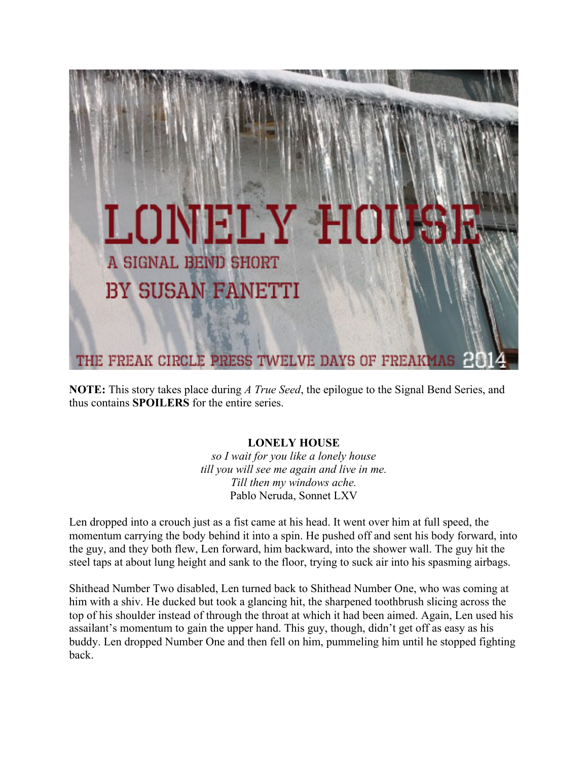

**NOTE:** This story takes place during *A True Seed*, the epilogue to the Signal Bend Series, and thus contains **SPOILERS** for the entire series.

## **LONELY HOUSE**

*so I wait for you like a lonely house till you will see me again and live in me. Till then my windows ache.* Pablo Neruda, Sonnet LXV

Len dropped into a crouch just as a fist came at his head. It went over him at full speed, the momentum carrying the body behind it into a spin. He pushed off and sent his body forward, into the guy, and they both flew, Len forward, him backward, into the shower wall. The guy hit the steel taps at about lung height and sank to the floor, trying to suck air into his spasming airbags.

Shithead Number Two disabled, Len turned back to Shithead Number One, who was coming at him with a shiv. He ducked but took a glancing hit, the sharpened toothbrush slicing across the top of his shoulder instead of through the throat at which it had been aimed. Again, Len used his assailant's momentum to gain the upper hand. This guy, though, didn't get off as easy as his buddy. Len dropped Number One and then fell on him, pummeling him until he stopped fighting back.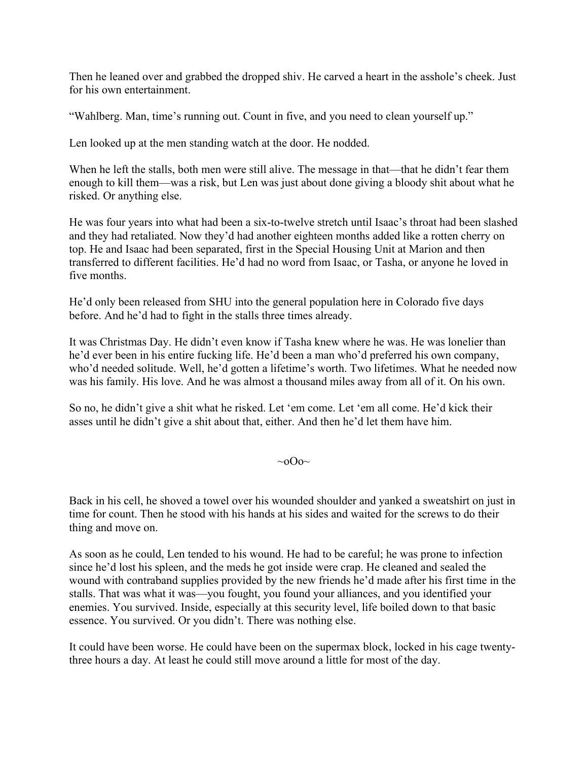Then he leaned over and grabbed the dropped shiv. He carved a heart in the asshole's cheek. Just for his own entertainment.

"Wahlberg. Man, time's running out. Count in five, and you need to clean yourself up."

Len looked up at the men standing watch at the door. He nodded.

When he left the stalls, both men were still alive. The message in that—that he didn't fear them enough to kill them—was a risk, but Len was just about done giving a bloody shit about what he risked. Or anything else.

He was four years into what had been a six-to-twelve stretch until Isaac's throat had been slashed and they had retaliated. Now they'd had another eighteen months added like a rotten cherry on top. He and Isaac had been separated, first in the Special Housing Unit at Marion and then transferred to different facilities. He'd had no word from Isaac, or Tasha, or anyone he loved in five months.

He'd only been released from SHU into the general population here in Colorado five days before. And he'd had to fight in the stalls three times already.

It was Christmas Day. He didn't even know if Tasha knew where he was. He was lonelier than he'd ever been in his entire fucking life. He'd been a man who'd preferred his own company, who'd needed solitude. Well, he'd gotten a lifetime's worth. Two lifetimes. What he needed now was his family. His love. And he was almost a thousand miles away from all of it. On his own.

So no, he didn't give a shit what he risked. Let 'em come. Let 'em all come. He'd kick their asses until he didn't give a shit about that, either. And then he'd let them have him.

 $\sim 000$ ~

Back in his cell, he shoved a towel over his wounded shoulder and yanked a sweatshirt on just in time for count. Then he stood with his hands at his sides and waited for the screws to do their thing and move on.

As soon as he could, Len tended to his wound. He had to be careful; he was prone to infection since he'd lost his spleen, and the meds he got inside were crap. He cleaned and sealed the wound with contraband supplies provided by the new friends he'd made after his first time in the stalls. That was what it was—you fought, you found your alliances, and you identified your enemies. You survived. Inside, especially at this security level, life boiled down to that basic essence. You survived. Or you didn't. There was nothing else.

It could have been worse. He could have been on the supermax block, locked in his cage twentythree hours a day. At least he could still move around a little for most of the day.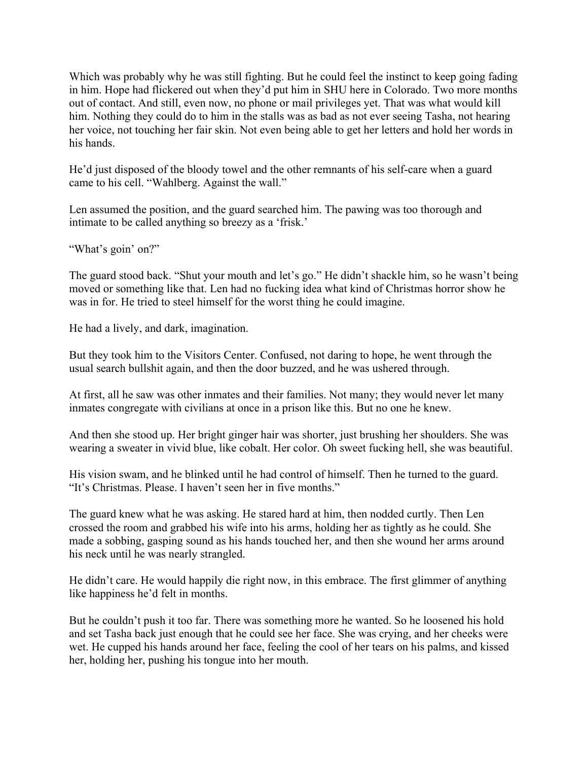Which was probably why he was still fighting. But he could feel the instinct to keep going fading in him. Hope had flickered out when they'd put him in SHU here in Colorado. Two more months out of contact. And still, even now, no phone or mail privileges yet. That was what would kill him. Nothing they could do to him in the stalls was as bad as not ever seeing Tasha, not hearing her voice, not touching her fair skin. Not even being able to get her letters and hold her words in his hands.

He'd just disposed of the bloody towel and the other remnants of his self-care when a guard came to his cell. "Wahlberg. Against the wall."

Len assumed the position, and the guard searched him. The pawing was too thorough and intimate to be called anything so breezy as a 'frisk.'

"What's goin' on?"

The guard stood back. "Shut your mouth and let's go." He didn't shackle him, so he wasn't being moved or something like that. Len had no fucking idea what kind of Christmas horror show he was in for. He tried to steel himself for the worst thing he could imagine.

He had a lively, and dark, imagination.

But they took him to the Visitors Center. Confused, not daring to hope, he went through the usual search bullshit again, and then the door buzzed, and he was ushered through.

At first, all he saw was other inmates and their families. Not many; they would never let many inmates congregate with civilians at once in a prison like this. But no one he knew.

And then she stood up. Her bright ginger hair was shorter, just brushing her shoulders. She was wearing a sweater in vivid blue, like cobalt. Her color. Oh sweet fucking hell, she was beautiful.

His vision swam, and he blinked until he had control of himself. Then he turned to the guard. "It's Christmas. Please. I haven't seen her in five months."

The guard knew what he was asking. He stared hard at him, then nodded curtly. Then Len crossed the room and grabbed his wife into his arms, holding her as tightly as he could. She made a sobbing, gasping sound as his hands touched her, and then she wound her arms around his neck until he was nearly strangled.

He didn't care. He would happily die right now, in this embrace. The first glimmer of anything like happiness he'd felt in months.

But he couldn't push it too far. There was something more he wanted. So he loosened his hold and set Tasha back just enough that he could see her face. She was crying, and her cheeks were wet. He cupped his hands around her face, feeling the cool of her tears on his palms, and kissed her, holding her, pushing his tongue into her mouth.